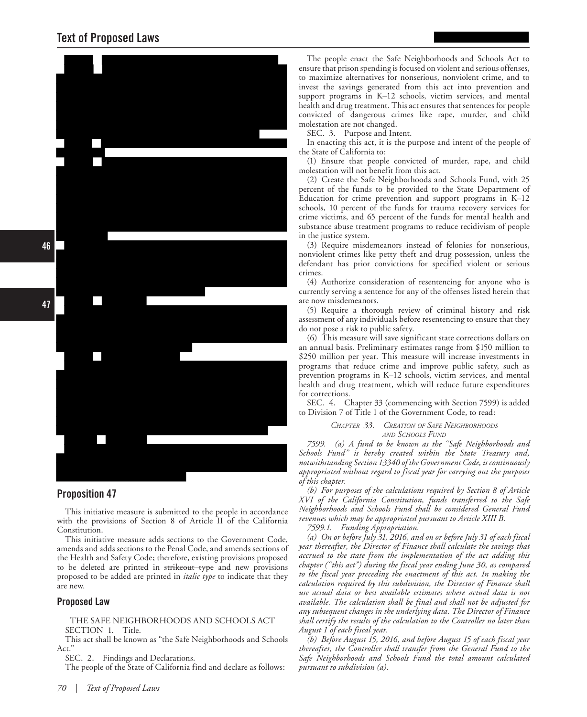## **Text of Proposed Laws**



### **Proposition 47**

This initiative measure is submitted to the people in accordance with the provisions of Section 8 of Article II of the California Constitution.

This initiative measure adds sections to the Government Code, amends and adds sections to the Penal Code, and amends sections of the Health and Safety Code; therefore, existing provisions proposed to be deleted are printed in strikeout type and new provisions proposed to be added are printed in *italic type* to indicate that they are new.

### **Proposed Law**

### THE SAFE NEIGHBORHOODS AND SCHOOLS ACT SECTION 1. Title.

This act shall be known as "the Safe Neighborhoods and Schools Act."

SEC. 2. Findings and Declarations.

The people of the State of California find and declare as follows:

SEC. 3. Purpose and Intent.

In enacting this act, it is the purpose and intent of the people of the State of California to:

(1) Ensure that people convicted of murder, rape, and child molestation will not benefit from this act.

(2) Create the Safe Neighborhoods and Schools Fund, with 25 percent of the funds to be provided to the State Department of Education for crime prevention and support programs in K–12 schools, 10 percent of the funds for trauma recovery services for crime victims, and 65 percent of the funds for mental health and substance abuse treatment programs to reduce recidivism of people in the justice system.

(3) Require misdemeanors instead of felonies for nonserious, nonviolent crimes like petty theft and drug possession, unless the defendant has prior convictions for specified violent or serious crimes.

(4) Authorize consideration of resentencing for anyone who is currently serving a sentence for any of the offenses listed herein that are now misdemeanors.

(5) Require a thorough review of criminal history and risk assessment of any individuals before resentencing to ensure that they do not pose a risk to public safety.

(6) This measure will save significant state corrections dollars on an annual basis. Preliminary estimates range from \$150 million to \$250 million per year. This measure will increase investments in programs that reduce crime and improve public safety, such as prevention programs in K–12 schools, victim services, and mental health and drug treatment, which will reduce future expenditures for corrections.

SEC. 4. Chapter 33 (commencing with Section 7599) is added to Division 7 of Title 1 of the Government Code, to read:

> *Chapter 33. Creation of Safe Neighborhoods and Schools Fund*

*7599. (a) A fund to be known as the "Safe Neighborhoods and Schools Fund" is hereby created within the State Treasury and, notwithstanding Section 13340 of the Government Code, is continuously appropriated without regard to fiscal year for carrying out the purposes of this chapter.*

*(b) For purposes of the calculations required by Section 8 of Article XVI of the California Constitution, funds transferred to the Safe Neighborhoods and Schools Fund shall be considered General Fund revenues which may be appropriated pursuant to Article XIII B.*

*7599.1. Funding Appropriation.*

*(a) On or before July 31, 2016, and on or before July 31 of each fiscal year thereafter, the Director of Finance shall calculate the savings that accrued to the state from the implementation of the act adding this chapter ("this act") during the fiscal year ending June 30, as compared to the fiscal year preceding the enactment of this act. In making the calculation required by this subdivision, the Director of Finance shall use actual data or best available estimates where actual data is not available. The calculation shall be final and shall not be adjusted for any subsequent changes in the underlying data. The Director of Finance shall certify the results of the calculation to the Controller no later than August 1 of each fiscal year.*

*(b) Before August 15, 2016, and before August 15 of each fiscal year thereafter, the Controller shall transfer from the General Fund to the Safe Neighborhoods and Schools Fund the total amount calculated pursuant to subdivision (a).*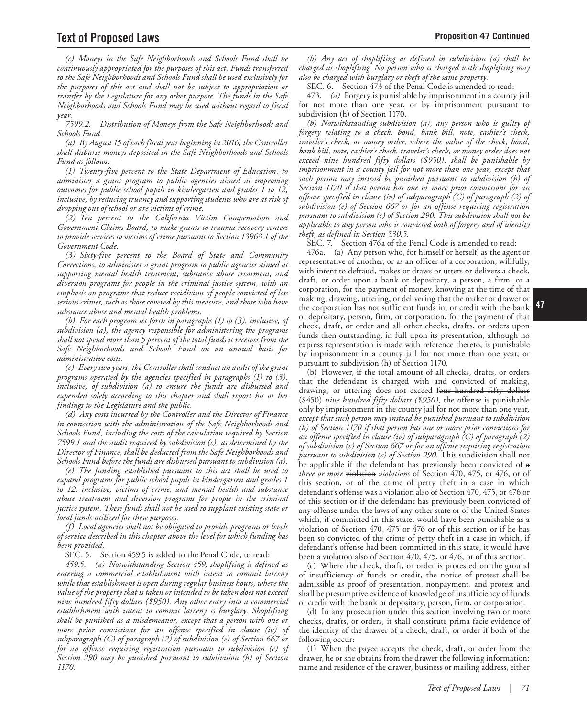# **Text of Proposed Laws Proposed Laws Proposition 47 Continued**

*(c) Moneys in the Safe Neighborhoods and Schools Fund shall be continuously appropriated for the purposes of this act. Funds transferred to the Safe Neighborhoods and Schools Fund shall be used exclusively for the purposes of this act and shall not be subject to appropriation or transfer by the Legislature for any other purpose. The funds in the Safe Neighborhoods and Schools Fund may be used without regard to fiscal year.*

*7599.2. Distribution of Moneys from the Safe Neighborhoods and Schools Fund.*

*(a) By August 15 of each fiscal year beginning in 2016, the Controller shall disburse moneys deposited in the Safe Neighborhoods and Schools Fund as follows:*

*(1) Twenty‑five percent to the State Department of Education, to administer a grant program to public agencies aimed at improving outcomes for public school pupils in kindergarten and grades 1 to 12, inclusive, by reducing truancy and supporting students who are at risk of dropping out of school or are victims of crime.*

*(2) Ten percent to the California Victim Compensation and Government Claims Board, to make grants to trauma recovery centers to provide services to victims of crime pursuant to Section 13963.1 of the Government Code.*

*(3) Sixty‑five percent to the Board of State and Community Corrections, to administer a grant program to public agencies aimed at supporting mental health treatment, substance abuse treatment, and diversion programs for people in the criminal justice system, with an emphasis on programs that reduce recidivism of people convicted of less serious crimes, such as those covered by this measure, and those who have substance abuse and mental health problems.*

*(b) For each program set forth in paragraphs (1) to (3), inclusive, of subdivision (a), the agency responsible for administering the programs shall not spend more than 5 percent of the total funds it receives from the Safe Neighborhoods and Schools Fund on an annual basis for administrative costs.*

*(c) Every two years, the Controller shall conduct an audit of the grant programs operated by the agencies specified in paragraphs (1) to (3), inclusive, of subdivision (a) to ensure the funds are disbursed and expended solely according to this chapter and shall report his or her findings to the Legislature and the public.*

*(d) Any costs incurred by the Controller and the Director of Finance in connection with the administration of the Safe Neighborhoods and Schools Fund, including the costs of the calculation required by Section 7599.1 and the audit required by subdivision (c), as determined by the Director of Finance, shall be deducted from the Safe Neighborhoods and Schools Fund before the funds are disbursed pursuant to subdivision (a).*

*(e) The funding established pursuant to this act shall be used to expand programs for public school pupils in kindergarten and grades 1 to 12, inclusive, victims of crime, and mental health and substance abuse treatment and diversion programs for people in the criminal justice system. These funds shall not be used to supplant existing state or local funds utilized for these purposes.*

*(f) Local agencies shall not be obligated to provide programs or levels of service described in this chapter above the level for which funding has been provided.*

SEC. 5. Section 459.5 is added to the Penal Code, to read:

*459.5. (a) Notwithstanding Section 459, shoplifting is defined as entering a commercial establishment with intent to commit larceny while that establishment is open during regular business hours, where the value of the property that is taken or intended to be taken does not exceed nine hundred fifty dollars (\$950). Any other entry into a commercial establishment with intent to commit larceny is burglary. Shoplifting shall be punished as a misdemeanor, except that a person with one or more prior convictions for an offense specified in clause (iv) of subparagraph (C) of paragraph (2) of subdivision (e) of Section 667 or for an offense requiring registration pursuant to subdivision (c) of Section 290 may be punished pursuant to subdivision (h) of Section 1170.*

*(b) Any act of shoplifting as defined in subdivision (a) shall be charged as shoplifting. No person who is charged with shoplifting may also be charged with burglary or theft of the same property.*

SEC. 6. Section 473 of the Penal Code is amended to read:

473. *(a)* Forgery is punishable by imprisonment in a county jail for not more than one year, or by imprisonment pursuant to subdivision (h) of Section 1170.

*(b) Notwithstanding subdivision (a), any person who is guilty of forgery relating to a check, bond, bank bill, note, cashier's check, traveler's check, or money order, where the value of the check, bond, bank bill, note, cashier's check, traveler's check, or money order does not exceed nine hundred fifty dollars (\$950), shall be punishable by imprisonment in a county jail for not more than one year, except that such person may instead be punished pursuant to subdivision (h) of Section 1170 if that person has one or more prior convictions for an offense specified in clause (iv) of subparagraph (C) of paragraph (2) of subdivision (e) of Section 667 or for an offense requiring registration pursuant to subdivision (c) of Section 290. This subdivision shall not be applicable to any person who is convicted both of forgery and of identity theft, as defined in Section 530.5.*

SEC. 7. Section 476a of the Penal Code is amended to read:

476a. (a) Any person who, for himself or herself, as the agent or representative of another, or as an officer of a corporation, willfully, with intent to defraud, makes or draws or utters or delivers a check, draft, or order upon a bank or depositary, a person, a firm, or a corporation, for the payment of money, knowing at the time of that making, drawing, uttering, or delivering that the maker or drawer or the corporation has not sufficient funds in, or credit with the bank or depositary, person, firm, or corporation, for the payment of that check, draft, or order and all other checks, drafts, or orders upon funds then outstanding, in full upon its presentation, although no express representation is made with reference thereto, is punishable by imprisonment in a county jail for not more than one year, or pursuant to subdivision (h) of Section 1170.

(b) However, if the total amount of all checks, drafts, or orders that the defendant is charged with and convicted of making, drawing, or uttering does not exceed four hundred fifty dollars (\$450) *nine hundred fifty dollars (\$950)*, the offense is punishable only by imprisonment in the county jail for not more than one year*, except that such person may instead be punished pursuant to subdivision (h) of Section 1170 if that person has one or more prior convictions for an offense specified in clause (iv) of subparagraph (C) of paragraph (2) of subdivision (e) of Section 667 or for an offense requiring registration pursuant to subdivision (c) of Section 290*. This subdivision shall not be applicable if the defendant has previously been convicted of a *three or more* violation *violations* of Section 470, 475, or 476, or of this section, or of the crime of petty theft in a case in which defendant's offense was a violation also of Section 470, 475, or 476 or of this section or if the defendant has previously been convicted of any offense under the laws of any other state or of the United States which, if committed in this state, would have been punishable as a violation of Section 470, 475 or 476 or of this section or if he has been so convicted of the crime of petty theft in a case in which, if defendant's offense had been committed in this state, it would have been a violation also of Section 470, 475, or 476, or of this section.

(c) Where the check, draft, or order is protested on the ground of insufficiency of funds or credit, the notice of protest shall be admissible as proof of presentation, nonpayment, and protest and shall be presumptive evidence of knowledge of insufficiency of funds or credit with the bank or depositary, person, firm, or corporation.

(d) In any prosecution under this section involving two or more checks, drafts, or orders, it shall constitute prima facie evidence of the identity of the drawer of a check, draft, or order if both of the following occur:

(1) When the payee accepts the check, draft, or order from the drawer, he or she obtains from the drawer the following information: name and residence of the drawer, business or mailing address, either

**47**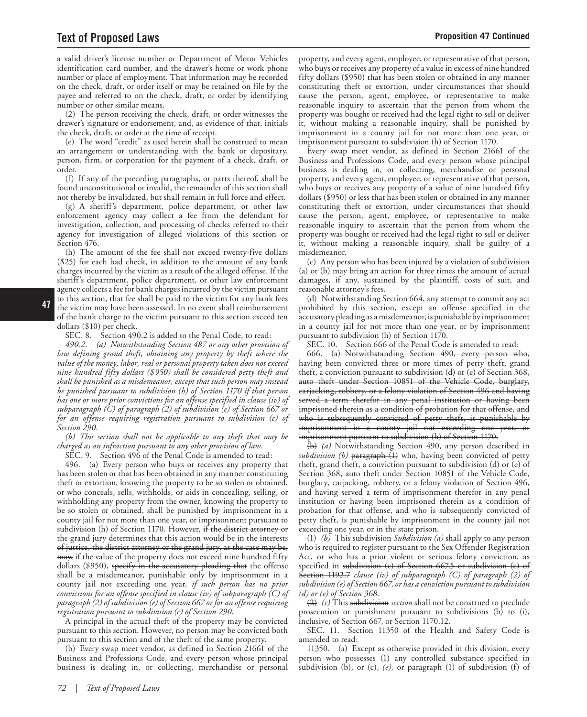a valid driver's license number or Department of Motor Vehicles identification card number, and the drawer's home or work phone number or place of employment. That information may be recorded on the check, draft, or order itself or may be retained on file by the payee and referred to on the check, draft, or order by identifying number or other similar means.

(2) The person receiving the check, draft, or order witnesses the drawer's signature or endorsement, and, as evidence of that, initials the check, draft, or order at the time of receipt.

(e) The word "credit" as used herein shall be construed to mean an arrangement or understanding with the bank or depositary, person, firm, or corporation for the payment of a check, draft, or order.

(f) If any of the preceding paragraphs, or parts thereof, shall be found unconstitutional or invalid, the remainder of this section shall not thereby be invalidated, but shall remain in full force and effect.

(g) A sheriff's department, police department, or other law enforcement agency may collect a fee from the defendant for investigation, collection, and processing of checks referred to their agency for investigation of alleged violations of this section or Section 476.

(h) The amount of the fee shall not exceed twenty‑five dollars (\$25) for each bad check, in addition to the amount of any bank charges incurred by the victim as a result of the alleged offense. If the sheriff's department, police department, or other law enforcement agency collects a fee for bank charges incurred by the victim pursuant to this section, that fee shall be paid to the victim for any bank fees the victim may have been assessed. In no event shall reimbursement of the bank charge to the victim pursuant to this section exceed ten dollars (\$10) per check.

SEC. 8. Section 490.2 is added to the Penal Code, to read:

*490.2. (a) Notwithstanding Section 487 or any other provision of law defining grand theft, obtaining any property by theft where the value of the money, labor, real or personal property taken does not exceed nine hundred fifty dollars (\$950) shall be considered petty theft and shall be punished as a misdemeanor, except that such person may instead be punished pursuant to subdivision (h) of Section 1170 if that person has one or more prior convictions for an offense specified in clause (iv) of subparagraph (C) of paragraph (2) of subdivision (e) of Section 667 or for an offense requiring registration pursuant to subdivision (c) of Section 290.*

*(b) This section shall not be applicable to any theft that may be charged as an infraction pursuant to any other provision of law.*

SEC. 9. Section 496 of the Penal Code is amended to read:

496. (a) Every person who buys or receives any property that has been stolen or that has been obtained in any manner constituting theft or extortion, knowing the property to be so stolen or obtained, or who conceals, sells, withholds, or aids in concealing, selling, or withholding any property from the owner, knowing the property to be so stolen or obtained, shall be punished by imprisonment in a county jail for not more than one year, or imprisonment pursuant to subdivision (h) of Section 1170. However, if the district attorney or the grand jury determines that this action would be in the interests of justice, the district attorney or the grand jury, as the case may be, may, if the value of the property does not exceed nine hundred fifty dollars (\$950), specify in the accusatory pleading that the offense shall be a misdemeanor, punishable only by imprisonment in a county jail not exceeding one year*, if such person has no prior convictions for an offense specified in clause (iv) of subparagraph (C) of paragraph (2) of subdivision (e) of Section 667 or for an offense requiring registration pursuant to subdivision (c) of Section 290*.

A principal in the actual theft of the property may be convicted pursuant to this section. However, no person may be convicted both pursuant to this section and of the theft of the same property.

(b) Every swap meet vendor, as defined in Section 21661 of the Business and Professions Code, and every person whose principal business is dealing in, or collecting, merchandise or personal

property, and every agent, employee, or representative of that person, who buys or receives any property of a value in excess of nine hundred fifty dollars (\$950) that has been stolen or obtained in any manner constituting theft or extortion, under circumstances that should cause the person, agent, employee, or representative to make reasonable inquiry to ascertain that the person from whom the property was bought or received had the legal right to sell or deliver it, without making a reasonable inquiry, shall be punished by imprisonment in a county jail for not more than one year, or imprisonment pursuant to subdivision (h) of Section 1170.

Every swap meet vendor, as defined in Section 21661 of the Business and Professions Code, and every person whose principal business is dealing in, or collecting, merchandise or personal property, and every agent, employee, or representative of that person, who buys or receives any property of a value of nine hundred fifty dollars (\$950) or less that has been stolen or obtained in any manner constituting theft or extortion, under circumstances that should cause the person, agent, employee, or representative to make reasonable inquiry to ascertain that the person from whom the property was bought or received had the legal right to sell or deliver it, without making a reasonable inquiry, shall be guilty of a misdemeanor.

(c) Any person who has been injured by a violation of subdivision (a) or (b) may bring an action for three times the amount of actual damages, if any, sustained by the plaintiff, costs of suit, and reasonable attorney's fees.

(d) Notwithstanding Section 664, any attempt to commit any act prohibited by this section, except an offense specified in the accusatory pleading as a misdemeanor, is punishable by imprisonment in a county jail for not more than one year, or by imprisonment pursuant to subdivision (h) of Section 1170.

SEC. 10. Section 666 of the Penal Code is amended to read:

666. (a) Notwithstanding Section 490, every person who, having been convicted three or more times of petty theft, grand theft, a conviction pursuant to subdivision (d) or (e) of Section 368, auto theft under Section 10851 of the Vehicle Code, burglary, carjacking, robbery, or a felony violation of Section 496 and having served a term therefor in any penal institution or having been imprisoned therein as a condition of probation for that offense, and who is subsequently convicted of petty theft, is punishable by imprisonment in a county jail not exceeding one year, or imprisonment pursuant to subdivision (h) of Section 1170.

(b) *(a)* Notwithstanding Section 490, any person described in *subdivision (b)* paragraph (1) who, having been convicted of petty theft, grand theft, a conviction pursuant to subdivision (d) or (e) of Section 368, auto theft under Section 10851 of the Vehicle Code, burglary, carjacking, robbery, or a felony violation of Section 496, and having served a term of imprisonment therefor in any penal institution or having been imprisoned therein as a condition of probation for that offense, and who is subsequently convicted of petty theft, is punishable by imprisonment in the county jail not exceeding one year, or in the state prison.

(1) *(b)* This subdivision *Subdivision (a)* shall apply to any person who is required to register pursuant to the Sex Offender Registration Act, or who has a prior violent or serious felony conviction, as specified in subdivision (c) of Section 667.5 or subdivision (c) of Section 1192.7 *clause (iv) of subparagraph (C) of paragraph (2) of subdivision (e) of Section 667, or has a conviction pursuant to subdivision (d) or (e) of Section 368.*

(2) *(c)* This subdivision *section* shall not be construed to preclude prosecution or punishment pursuant to subdivisions (b) to (i), inclusive, of Section 667, or Section 1170.12.

SEC. 11. Section 11350 of the Health and Safety Code is amended to read:

11350. (a) Except as otherwise provided in this division, every person who possesses (1) any controlled substance specified in subdivision (b),  $\Theta$ <sub>F</sub> (c), (e), or paragraph (1) of subdivision (f) of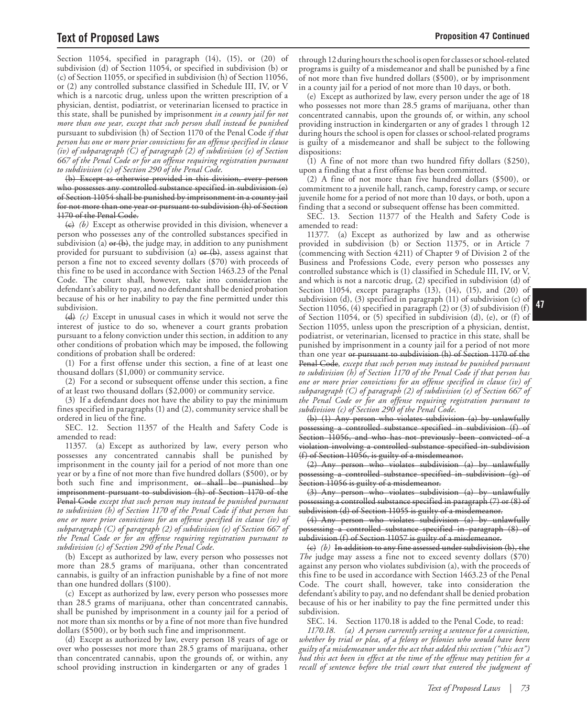# **Text of Proposed Laws Proposition 47 Continued**

Section 11054, specified in paragraph (14), (15), or (20) of subdivision (d) of Section 11054, or specified in subdivision (b) or (c) of Section 11055, or specified in subdivision (h) of Section 11056, or (2) any controlled substance classified in Schedule III, IV, or V which is a narcotic drug, unless upon the written prescription of a physician, dentist, podiatrist, or veterinarian licensed to practice in this state, shall be punished by imprisonment *in a county jail for not more than one year, except that such person shall instead be punished* pursuant to subdivision (h) of Section 1170 of the Penal Code *if that person has one or more prior convictions for an offense specified in clause (iv) of subparagraph (C) of paragraph (2) of subdivision (e) of Section 667 of the Penal Code or for an offense requiring registration pursuant to subdivision (c) of Section 290 of the Penal Code*.

(b) Except as otherwise provided in this division, every person who possesses any controlled substance specified in subdivision (e) of Section 11054 shall be punished by imprisonment in a county jail for not more than one year or pursuant to subdivision (h) of Section 1170 of the Penal Code.

(c) *(b)* Except as otherwise provided in this division, whenever a person who possesses any of the controlled substances specified in subdivision (a)  $er (b)$ , the judge may, in addition to any punishment provided for pursuant to subdivision (a)  $or (b)$ , assess against that person a fine not to exceed seventy dollars (\$70) with proceeds of this fine to be used in accordance with Section 1463.23 of the Penal Code. The court shall, however, take into consideration the defendant's ability to pay, and no defendant shall be denied probation because of his or her inability to pay the fine permitted under this subdivision.

(d) *(c)* Except in unusual cases in which it would not serve the interest of justice to do so, whenever a court grants probation pursuant to a felony conviction under this section, in addition to any other conditions of probation which may be imposed, the following conditions of probation shall be ordered:

(1) For a first offense under this section, a fine of at least one thousand dollars (\$1,000) or community service.

(2) For a second or subsequent offense under this section, a fine of at least two thousand dollars (\$2,000) or community service.

(3) If a defendant does not have the ability to pay the minimum fines specified in paragraphs (1) and (2), community service shall be ordered in lieu of the fine.

SEC. 12. Section 11357 of the Health and Safety Code is amended to read:

11357. (a) Except as authorized by law, every person who possesses any concentrated cannabis shall be punished by imprisonment in the county jail for a period of not more than one year or by a fine of not more than five hundred dollars (\$500), or by both such fine and imprisonment, or shall be punished by imprisonment pursuant to subdivision (h) of Section 1170 of the Penal Code *except that such person may instead be punished pursuant to subdivision (h) of Section 1170 of the Penal Code if that person has one or more prior convictions for an offense specified in clause (iv) of subparagraph (C) of paragraph (2) of subdivision (e) of Section 667 of the Penal Code or for an offense requiring registration pursuant to subdivision (c) of Section 290 of the Penal Code*.

(b) Except as authorized by law, every person who possesses not more than 28.5 grams of marijuana, other than concentrated cannabis, is guilty of an infraction punishable by a fine of not more than one hundred dollars (\$100).

(c) Except as authorized by law, every person who possesses more than 28.5 grams of marijuana, other than concentrated cannabis, shall be punished by imprisonment in a county jail for a period of not more than six months or by a fine of not more than five hundred dollars (\$500), or by both such fine and imprisonment.

(d) Except as authorized by law, every person 18 years of age or over who possesses not more than 28.5 grams of marijuana, other than concentrated cannabis, upon the grounds of, or within, any school providing instruction in kindergarten or any of grades 1

through 12 during hours the school is open for classes or school‑related programs is guilty of a misdemeanor and shall be punished by a fine of not more than five hundred dollars (\$500), or by imprisonment in a county jail for a period of not more than 10 days, or both.

(e) Except as authorized by law, every person under the age of 18 who possesses not more than 28.5 grams of marijuana, other than concentrated cannabis, upon the grounds of, or within, any school providing instruction in kindergarten or any of grades 1 through 12 during hours the school is open for classes or school-related programs is guilty of a misdemeanor and shall be subject to the following dispositions:

(1) A fine of not more than two hundred fifty dollars (\$250), upon a finding that a first offense has been committed.

(2) A fine of not more than five hundred dollars (\$500), or commitment to a juvenile hall, ranch, camp, forestry camp, or secure juvenile home for a period of not more than 10 days, or both, upon a finding that a second or subsequent offense has been committed.

SEC. 13. Section 11377 of the Health and Safety Code is amended to read:

11377. (a) Except as authorized by law and as otherwise provided in subdivision (b) or Section 11375, or in Article 7 (commencing with Section 4211) of Chapter 9 of Division 2 of the Business and Professions Code, every person who possesses any controlled substance which is (1) classified in Schedule III, IV, or V, and which is not a narcotic drug, (2) specified in subdivision (d) of Section 11054, except paragraphs  $(13)$ ,  $(14)$ ,  $(15)$ , and  $(20)$  of subdivision (d), (3) specified in paragraph (11) of subdivision (c) of Section 11056, (4) specified in paragraph (2) or (3) of subdivision (f) of Section 11054, or (5) specified in subdivision (d), (e), or (f) of Section 11055, unless upon the prescription of a physician, dentist, podiatrist, or veterinarian, licensed to practice in this state, shall be punished by imprisonment in a county jail for a period of not more than one year or pursuant to subdivision (h) of Section 1170 of the Penal Code*, except that such person may instead be punished pursuant to subdivision (h) of Section 1170 of the Penal Code if that person has one or more prior convictions for an offense specified in clause (iv) of subparagraph (C) of paragraph (2) of subdivision (e) of Section 667 of the Penal Code or for an offense requiring registration pursuant to subdivision (c) of Section 290 of the Penal Code*.

(b) (1) Any person who violates subdivision (a) by unlawfully possessing a controlled substance specified in subdivision (f) of Section 11056, and who has not previously been convicted of a violation involving a controlled substance specified in subdivision (f) of Section 11056, is guilty of a misdemeanor.

(2) Any person who violates subdivision (a) by unlawfully possessing a controlled substance specified in subdivision (g) of Section 11056 is guilty of a misdemeanor.

(3) Any person who violates subdivision (a) by unlawfully possessing a controlled substance specified in paragraph (7) or (8) of subdivision (d) of Section 11055 is guilty of a misdemeanor.

(4) Any person who violates subdivision (a) by unlawfully possessing a controlled substance specified in paragraph (8) of subdivision (f) of Section 11057 is guilty of a misdemeanor.

(c) *(b)* In addition to any fine assessed under subdivision (b), the *The* judge may assess a fine not to exceed seventy dollars (\$70) against any person who violates subdivision (a), with the proceeds of this fine to be used in accordance with Section 1463.23 of the Penal Code. The court shall, however, take into consideration the defendant's ability to pay, and no defendant shall be denied probation because of his or her inability to pay the fine permitted under this subdivision.

SEC. 14. Section 1170.18 is added to the Penal Code, to read:

*1170.18. (a) A person currently serving a sentence for a conviction, whether by trial or plea, of a felony or felonies who would have been guilty of a misdemeanor under the act that added this section ("this act") had this act been in effect at the time of the offense may petition for a recall of sentence before the trial court that entered the judgment of*